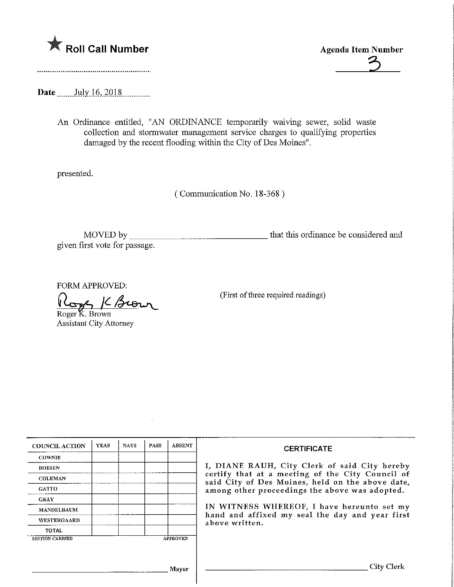

Roll Call Number<br>
Agenda Item Number<br>
2

Date July 16, 2018

An Ordinance entitled, "AN ORDINANCE temporarily waiving sewer, solid waste collection and stormwater management service charges to qualifying properties damaged by the recent flooding within the City of Des Moines".

presented.

(Communication No. 18-368)

MOVED by that this ordinance be considered and given first vote for passage.

FORM APPROVED:

K Brown Roger K. Brown

Assistant City Attorney

(First of three required readings)

| <b>COUNCIL ACTION</b> | <b>YEAS</b> | <b>NAYS</b> | PASS | <b>ABSENT</b>   | <b>CERTIFICATE</b>                                                                                                                                                                                                                                                                                                         |  |
|-----------------------|-------------|-------------|------|-----------------|----------------------------------------------------------------------------------------------------------------------------------------------------------------------------------------------------------------------------------------------------------------------------------------------------------------------------|--|
| <b>COWNIE</b>         |             |             |      |                 |                                                                                                                                                                                                                                                                                                                            |  |
| <b>BOESEN</b>         |             |             |      |                 | I, DIANE RAUH, City Clerk of said City hereby<br>certify that at a meeting of the City Council of<br>said City of Des Moines, held on the above date,<br>among other proceedings the above was adopted.<br>IN WITNESS WHEREOF, I have hereunto set my<br>hand and affixed my seal the day and year first<br>above written. |  |
| <b>COLEMAN</b>        |             |             |      |                 |                                                                                                                                                                                                                                                                                                                            |  |
| <b>GATTO</b>          |             |             |      |                 |                                                                                                                                                                                                                                                                                                                            |  |
| <b>GRAY</b>           |             |             |      |                 |                                                                                                                                                                                                                                                                                                                            |  |
| MANDELBAUM            |             |             |      |                 |                                                                                                                                                                                                                                                                                                                            |  |
| <b>WESTERGAARD</b>    |             |             |      |                 |                                                                                                                                                                                                                                                                                                                            |  |
| <b>TOTAL</b>          |             |             |      |                 |                                                                                                                                                                                                                                                                                                                            |  |
| <b>MOTION CARRIED</b> |             |             |      | <b>APPROVED</b> |                                                                                                                                                                                                                                                                                                                            |  |
|                       |             |             |      |                 |                                                                                                                                                                                                                                                                                                                            |  |
|                       |             |             |      |                 |                                                                                                                                                                                                                                                                                                                            |  |
| Mavor                 |             |             |      |                 | City Clerk                                                                                                                                                                                                                                                                                                                 |  |
|                       |             |             |      |                 |                                                                                                                                                                                                                                                                                                                            |  |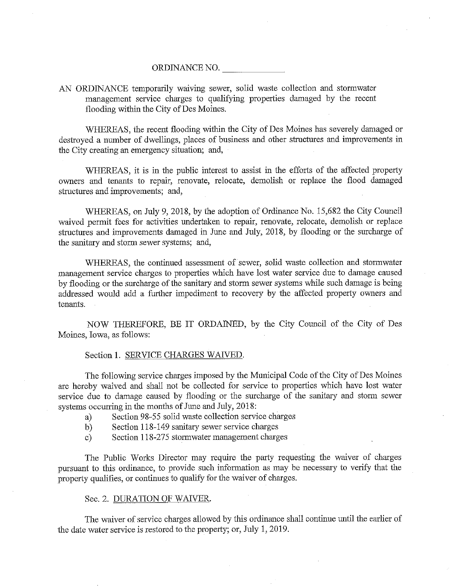#### ORDINANCE NO.

# AN ORDINANCE temporarily waiving sewer, solid waste collection and stormwater management service charges to qualifying properties damaged by the recent flooding within the City of Des Moines.

WHEREAS, the recent flooding within the City of Des Moines has severely damaged or destroyed a number of dwellings, places of business and other structures and improvements in the City creating an emergency situation; and,

WHEREAS, it is in the public interest to assist in the efforts of the affected property owners and tenants to repair, renovate, relocate, demolish or replace the flood damaged structures and improvements; and,

WHEREAS, on July 9, 2018, by the adoption of Ordinance No. 15,682 the City Council waived permit fees for activities undertaken to repair, renovate, relocate, demolish or replace structures and improvements damaged in June and July, 2018, by flooding or the surcharge of the sanitary and storm sewer systems; and,

WHEREAS, the continued assessment of sewer, solid waste collection and stormwater management service charges to properties which have lost water service due to damage caused by flooding or the surcharge of the sanitary and storm sewer systems while such damage is being addressed would add a further impediment to recovery by the affected property owners and tenants.

NOW THEREFORE, BE IT ORDAINED, by the City Council of the City of Des Moines, Iowa, as follows:

#### Section 1. SERVICE CHARGES WAIVED.

The following service charges imposed by the Municipal Code of the City of Des Moines are hereby waived and shall not be collected for service to properties which have lost water service due to damage caused by flooding or the surcharge of the sanitary and storm sewer systems occurring in the months of June and July, 2018:

- a) Section 98-55 solid waste collection service charges
- b) Section 118-149 sanitary sewer service charges
- c) Section 118-275 stormwater management charges

The Public Works Director may require the party requesting the waiver of charges pursuant to this ordinance, to provide such information as may be necessary to verify that the property qualifies, or continues to qualify for the waiver of charges.

## Sec. 2. DURATION OF WAIVER.

The waiver of service charges allowed by this ordinance shall continue until the earlier of the date water service is restored to the property; or, July 1, 2019.